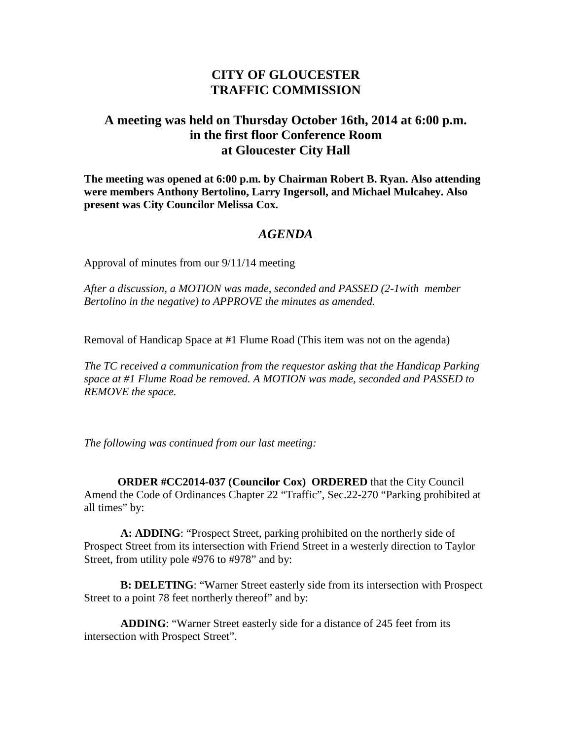## **CITY OF GLOUCESTER TRAFFIC COMMISSION**

## **A meeting was held on Thursday October 16th, 2014 at 6:00 p.m. in the first floor Conference Room at Gloucester City Hall**

**The meeting was opened at 6:00 p.m. by Chairman Robert B. Ryan. Also attending were members Anthony Bertolino, Larry Ingersoll, and Michael Mulcahey. Also present was City Councilor Melissa Cox.**

## *AGENDA*

Approval of minutes from our 9/11/14 meeting

*After a discussion, a MOTION was made, seconded and PASSED (2-1with member Bertolino in the negative) to APPROVE the minutes as amended.* 

Removal of Handicap Space at #1 Flume Road (This item was not on the agenda)

*The TC received a communication from the requestor asking that the Handicap Parking space at #1 Flume Road be removed. A MOTION was made, seconded and PASSED to REMOVE the space.* 

*The following was continued from our last meeting:*

**ORDER #CC2014-037 (Councilor Cox) ORDERED** that the City Council Amend the Code of Ordinances Chapter 22 "Traffic", Sec.22-270 "Parking prohibited at all times" by:

 **A: ADDING**: "Prospect Street, parking prohibited on the northerly side of Prospect Street from its intersection with Friend Street in a westerly direction to Taylor Street, from utility pole #976 to #978" and by:

**B: DELETING**: "Warner Street easterly side from its intersection with Prospect Street to a point 78 feet northerly thereof" and by:

**ADDING**: "Warner Street easterly side for a distance of 245 feet from its intersection with Prospect Street".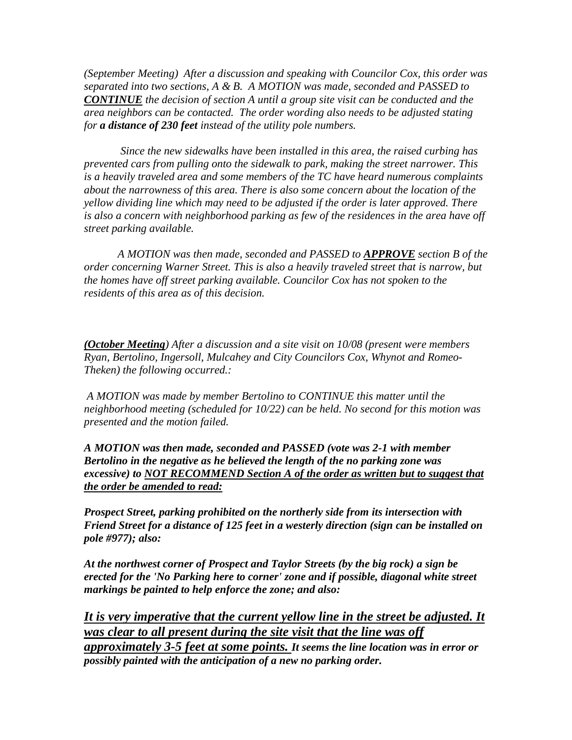*(September Meeting) After a discussion and speaking with Councilor Cox, this order was separated into two sections, A & B. A MOTION was made, seconded and PASSED to CONTINUE the decision of section A until a group site visit can be conducted and the area neighbors can be contacted. The order wording also needs to be adjusted stating for a distance of 230 feet instead of the utility pole numbers.* 

*Since the new sidewalks have been installed in this area, the raised curbing has prevented cars from pulling onto the sidewalk to park, making the street narrower. This is a heavily traveled area and some members of the TC have heard numerous complaints about the narrowness of this area. There is also some concern about the location of the yellow dividing line which may need to be adjusted if the order is later approved. There is also a concern with neighborhood parking as few of the residences in the area have off street parking available.*

*A MOTION was then made, seconded and PASSED to APPROVE section B of the order concerning Warner Street. This is also a heavily traveled street that is narrow, but the homes have off street parking available. Councilor Cox has not spoken to the residents of this area as of this decision.* 

*(October Meeting) After a discussion and a site visit on 10/08 (present were members Ryan, Bertolino, Ingersoll, Mulcahey and City Councilors Cox, Whynot and Romeo-Theken) the following occurred.:* 

*A MOTION was made by member Bertolino to CONTINUE this matter until the neighborhood meeting (scheduled for 10/22) can be held. No second for this motion was presented and the motion failed.*

*A MOTION was then made, seconded and PASSED (vote was 2-1 with member Bertolino in the negative as he believed the length of the no parking zone was excessive) to NOT RECOMMEND Section A of the order as written but to suggest that the order be amended to read:*

*Prospect Street, parking prohibited on the northerly side from its intersection with Friend Street for a distance of 125 feet in a westerly direction (sign can be installed on pole #977); also:*

*At the northwest corner of Prospect and Taylor Streets (by the big rock) a sign be erected for the 'No Parking here to corner' zone and if possible, diagonal white street markings be painted to help enforce the zone; and also:*

*It is very imperative that the current yellow line in the street be adjusted. It was clear to all present during the site visit that the line was off approximately 3-5 feet at some points. It seems the line location was in error or possibly painted with the anticipation of a new no parking order.*